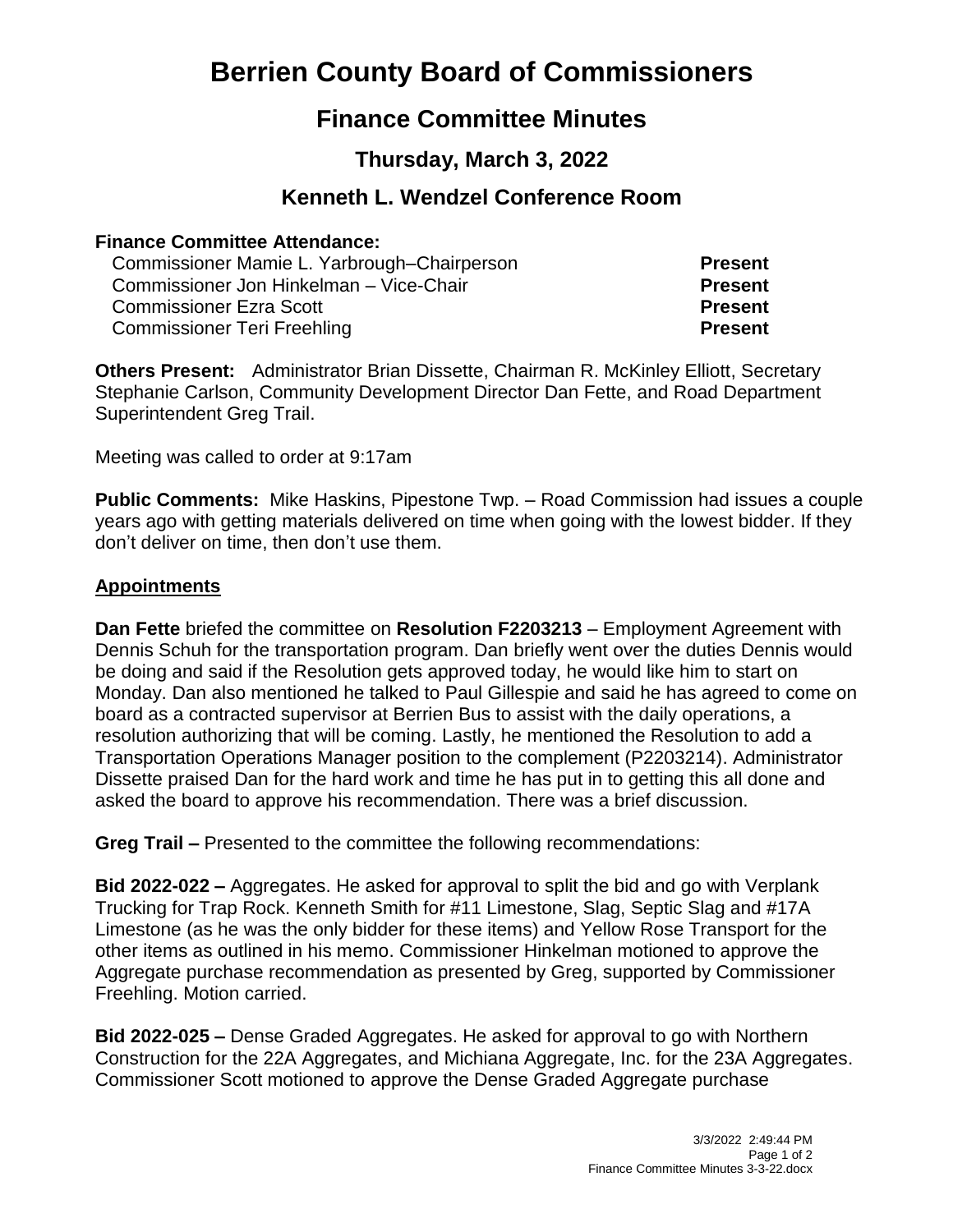# **Berrien County Board of Commissioners**

## **Finance Committee Minutes**

## **Thursday, March 3, 2022**

### **Kenneth L. Wendzel Conference Room**

#### **Finance Committee Attendance:**

| Commissioner Mamie L. Yarbrough–Chairperson | <b>Present</b> |
|---------------------------------------------|----------------|
| Commissioner Jon Hinkelman - Vice-Chair     | <b>Present</b> |
| <b>Commissioner Ezra Scott</b>              | <b>Present</b> |
| <b>Commissioner Teri Freehling</b>          | <b>Present</b> |

**Others Present:** Administrator Brian Dissette, Chairman R. McKinley Elliott, Secretary Stephanie Carlson, Community Development Director Dan Fette, and Road Department Superintendent Greg Trail.

Meeting was called to order at 9:17am

**Public Comments:** Mike Haskins, Pipestone Twp. – Road Commission had issues a couple years ago with getting materials delivered on time when going with the lowest bidder. If they don't deliver on time, then don't use them.

#### **Appointments**

**Dan Fette** briefed the committee on **Resolution F2203213** – Employment Agreement with Dennis Schuh for the transportation program. Dan briefly went over the duties Dennis would be doing and said if the Resolution gets approved today, he would like him to start on Monday. Dan also mentioned he talked to Paul Gillespie and said he has agreed to come on board as a contracted supervisor at Berrien Bus to assist with the daily operations, a resolution authorizing that will be coming. Lastly, he mentioned the Resolution to add a Transportation Operations Manager position to the complement (P2203214). Administrator Dissette praised Dan for the hard work and time he has put in to getting this all done and asked the board to approve his recommendation. There was a brief discussion.

**Greg Trail –** Presented to the committee the following recommendations:

**Bid 2022-022 –** Aggregates. He asked for approval to split the bid and go with Verplank Trucking for Trap Rock. Kenneth Smith for #11 Limestone, Slag, Septic Slag and #17A Limestone (as he was the only bidder for these items) and Yellow Rose Transport for the other items as outlined in his memo. Commissioner Hinkelman motioned to approve the Aggregate purchase recommendation as presented by Greg, supported by Commissioner Freehling. Motion carried.

**Bid 2022-025 –** Dense Graded Aggregates. He asked for approval to go with Northern Construction for the 22A Aggregates, and Michiana Aggregate, Inc. for the 23A Aggregates. Commissioner Scott motioned to approve the Dense Graded Aggregate purchase